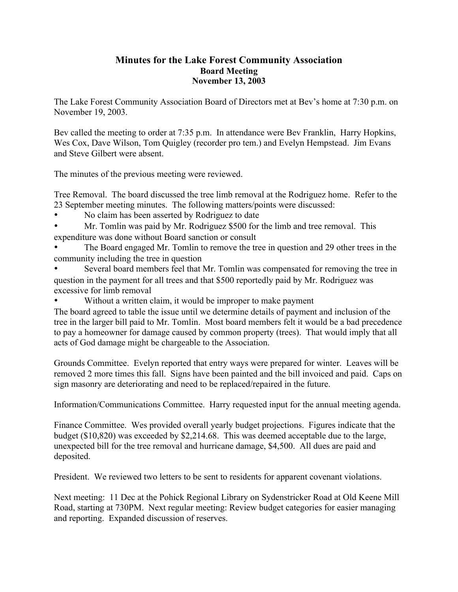## **Minutes for the Lake Forest Community Association Board Meeting November 13, 2003**

The Lake Forest Community Association Board of Directors met at Bev's home at 7:30 p.m. on November 19, 2003.

Bev called the meeting to order at 7:35 p.m. In attendance were Bev Franklin, Harry Hopkins, Wes Cox, Dave Wilson, Tom Quigley (recorder pro tem.) and Evelyn Hempstead. Jim Evans and Steve Gilbert were absent.

The minutes of the previous meeting were reviewed.

Tree Removal. The board discussed the tree limb removal at the Rodriguez home. Refer to the 23 September meeting minutes. The following matters/points were discussed:

- No claim has been asserted by Rodriguez to date
- Mr. Tomlin was paid by Mr. Rodriguez \$500 for the limb and tree removal. This expenditure was done without Board sanction or consult
- The Board engaged Mr. Tomlin to remove the tree in question and 29 other trees in the community including the tree in question
- Several board members feel that Mr. Tomlin was compensated for removing the tree in question in the payment for all trees and that \$500 reportedly paid by Mr. Rodriguez was excessive for limb removal
- Without a written claim, it would be improper to make payment

The board agreed to table the issue until we determine details of payment and inclusion of the tree in the larger bill paid to Mr. Tomlin. Most board members felt it would be a bad precedence to pay a homeowner for damage caused by common property (trees). That would imply that all acts of God damage might be chargeable to the Association.

Grounds Committee. Evelyn reported that entry ways were prepared for winter. Leaves will be removed 2 more times this fall. Signs have been painted and the bill invoiced and paid. Caps on sign masonry are deteriorating and need to be replaced/repaired in the future.

Information/Communications Committee. Harry requested input for the annual meeting agenda.

Finance Committee. Wes provided overall yearly budget projections. Figures indicate that the budget (\$10,820) was exceeded by \$2,214.68. This was deemed acceptable due to the large, unexpected bill for the tree removal and hurricane damage, \$4,500. All dues are paid and deposited.

President. We reviewed two letters to be sent to residents for apparent covenant violations.

Next meeting: 11 Dec at the Pohick Regional Library on Sydenstricker Road at Old Keene Mill Road, starting at 730PM. Next regular meeting: Review budget categories for easier managing and reporting. Expanded discussion of reserves.